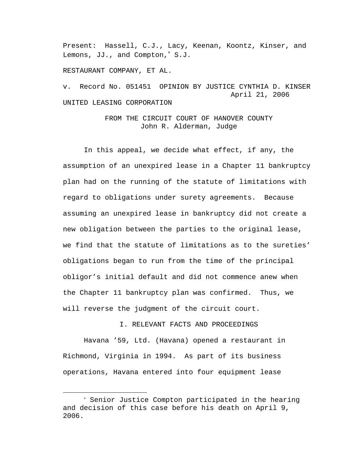Present: Hassell, C.J., Lacy, Keenan, Koontz, Kinser, and Lemons, JJ., and Compton,<sup>∗</sup> S.J.

RESTAURANT COMPANY, ET AL.

i

v. Record No. 051451 OPINION BY JUSTICE CYNTHIA D. KINSER April 21, 2006 UNITED LEASING CORPORATION

> FROM THE CIRCUIT COURT OF HANOVER COUNTY John R. Alderman, Judge

 In this appeal, we decide what effect, if any, the assumption of an unexpired lease in a Chapter 11 bankruptcy plan had on the running of the statute of limitations with regard to obligations under surety agreements. Because assuming an unexpired lease in bankruptcy did not create a new obligation between the parties to the original lease, we find that the statute of limitations as to the sureties' obligations began to run from the time of the principal obligor's initial default and did not commence anew when the Chapter 11 bankruptcy plan was confirmed. Thus, we will reverse the judgment of the circuit court.

I. RELEVANT FACTS AND PROCEEDINGS

 Havana '59, Ltd. (Havana) opened a restaurant in Richmond, Virginia in 1994. As part of its business operations, Havana entered into four equipment lease

<sup>∗</sup> Senior Justice Compton participated in the hearing and decision of this case before his death on April 9, 2006.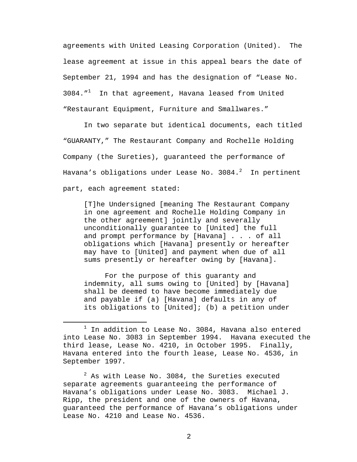agreements with United Leasing Corporation (United). The lease agreement at issue in this appeal bears the date of September 21, 1994 and has the designation of "Lease No.  $3084.$  "<sup>1</sup> In that agreement, Havana leased from United "Restaurant Equipment, Furniture and Smallwares."

In two separate but identical documents, each titled "GUARANTY," The Restaurant Company and Rochelle Holding Company (the Sureties), guaranteed the performance of Havana's obligations under Lease No. 3084. $^2$  In pertinent part, each agreement stated:

[T]he Undersigned [meaning The Restaurant Company in one agreement and Rochelle Holding Company in the other agreement] jointly and severally unconditionally guarantee to [United] the full and prompt performance by [Havana] . . . of all obligations which [Havana] presently or hereafter may have to [United] and payment when due of all sums presently or hereafter owing by [Havana].

For the purpose of this guaranty and indemnity, all sums owing to [United] by [Havana] shall be deemed to have become immediately due and payable if (a) [Havana] defaults in any of its obligations to [United]; (b) a petition under

 $^2$  As with Lease No. 3084, the Sureties executed separate agreements guaranteeing the performance of Havana's obligations under Lease No. 3083. Michael J. Ripp, the president and one of the owners of Havana, guaranteed the performance of Havana's obligations under Lease No. 4210 and Lease No. 4536.

<sup>&</sup>lt;u>1</u>  $1$  In addition to Lease No. 3084, Havana also entered into Lease No. 3083 in September 1994. Havana executed the third lease, Lease No. 4210, in October 1995. Finally, Havana entered into the fourth lease, Lease No. 4536, in September 1997.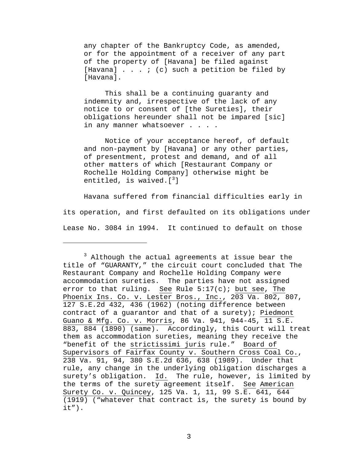any chapter of the Bankruptcy Code, as amended, or for the appointment of a receiver of any part of the property of [Havana] be filed against [Havana]  $\ldots$  ; (c) such a petition be filed by [Havana].

This shall be a continuing guaranty and indemnity and, irrespective of the lack of any notice to or consent of [the Sureties], their obligations hereunder shall not be impared [sic] in any manner whatsoever . . . .

Notice of your acceptance hereof, of default and non-payment by [Havana] or any other parties, of presentment, protest and demand, and of all other matters of which [Restaurant Company or Rochelle Holding Company] otherwise might be entitled, is waived.[ $^3$ ]

Havana suffered from financial difficulties early in its operation, and first defaulted on its obligations under Lease No. 3084 in 1994. It continued to default on those

i<br>Li

<sup>&</sup>lt;sup>3</sup> Although the actual agreements at issue bear the title of "GUARANTY," the circuit court concluded that The Restaurant Company and Rochelle Holding Company were accommodation sureties. The parties have not assigned error to that ruling. See Rule  $5:17(c)$ ; but see, The Phoenix Ins. Co. v. Lester Bros., Inc., 203 Va. 802, 807, 127 S.E.2d 432, 436 (1962) (noting difference between contract of a guarantor and that of a surety); Piedmont Guano & Mfg. Co. v. Morris, 86 Va. 941, 944-45, 11 S.E. 883, 884 (1890) (same). Accordingly, this Court will treat them as accommodation sureties, meaning they receive the "benefit of the strictissimi juris rule." Board of Supervisors of Fairfax County v. Southern Cross Coal Co., 238 Va. 91, 94, 380 S.E.2d 636, 638 (1989). Under that rule, any change in the underlying obligation discharges a surety's obligation. Id. The rule, however, is limited by the terms of the surety agreement itself. See American Surety Co. v. Quincey, 125 Va. 1, 11, 99 S.E. 641, 644 (1919) ("whatever that contract is, the surety is bound by  $it")$ .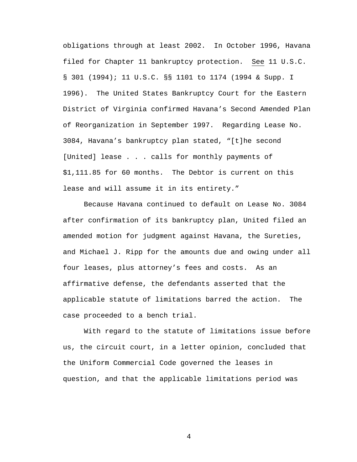obligations through at least 2002. In October 1996, Havana filed for Chapter 11 bankruptcy protection. See 11 U.S.C. § 301 (1994); 11 U.S.C. §§ 1101 to 1174 (1994 & Supp. I 1996). The United States Bankruptcy Court for the Eastern District of Virginia confirmed Havana's Second Amended Plan of Reorganization in September 1997. Regarding Lease No. 3084, Havana's bankruptcy plan stated, "[t]he second [United] lease . . . calls for monthly payments of \$1,111.85 for 60 months. The Debtor is current on this lease and will assume it in its entirety."

Because Havana continued to default on Lease No. 3084 after confirmation of its bankruptcy plan, United filed an amended motion for judgment against Havana, the Sureties, and Michael J. Ripp for the amounts due and owing under all four leases, plus attorney's fees and costs. As an affirmative defense, the defendants asserted that the applicable statute of limitations barred the action. The case proceeded to a bench trial.

With regard to the statute of limitations issue before us, the circuit court, in a letter opinion, concluded that the Uniform Commercial Code governed the leases in question, and that the applicable limitations period was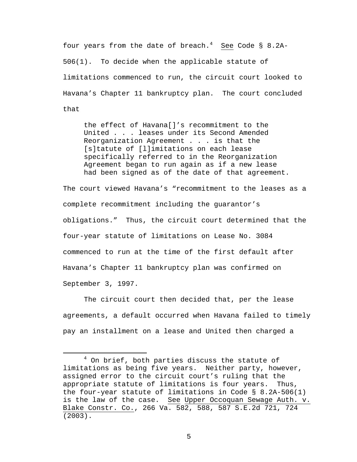four years from the date of breach.<sup>4</sup> See Code § 8.2A-506(1). To decide when the applicable statute of limitations commenced to run, the circuit court looked to Havana's Chapter 11 bankruptcy plan. The court concluded that

the effect of Havana[]'s recommitment to the United . . . leases under its Second Amended Reorganization Agreement . . . is that the [s]tatute of [l]imitations on each lease specifically referred to in the Reorganization Agreement began to run again as if a new lease had been signed as of the date of that agreement.

The court viewed Havana's "recommitment to the leases as a complete recommitment including the guarantor's obligations." Thus, the circuit court determined that the four-year statute of limitations on Lease No. 3084 commenced to run at the time of the first default after Havana's Chapter 11 bankruptcy plan was confirmed on September 3, 1997.

The circuit court then decided that, per the lease agreements, a default occurred when Havana failed to timely pay an installment on a lease and United then charged a

 $\overline{4}$  $4$  On brief, both parties discuss the statute of limitations as being five years. Neither party, however, assigned error to the circuit court's ruling that the appropriate statute of limitations is four years. Thus, the four-year statute of limitations in Code § 8.2A-506(1) is the law of the case. See Upper Occoquan Sewage Auth. v. Blake Constr. Co., 266 Va. 582, 588, 587 S.E.2d 721, 724 (2003).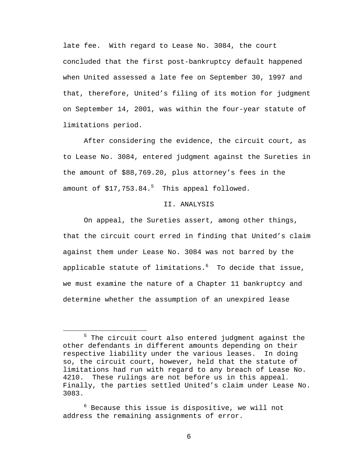late fee. With regard to Lease No. 3084, the court concluded that the first post-bankruptcy default happened when United assessed a late fee on September 30, 1997 and that, therefore, United's filing of its motion for judgment on September 14, 2001, was within the four-year statute of limitations period.

After considering the evidence, the circuit court, as to Lease No. 3084, entered judgment against the Sureties in the amount of \$88,769.20, plus attorney's fees in the amount of  $$17,753.84.^5$  This appeal followed.

## II. ANALYSIS

 On appeal, the Sureties assert, among other things, that the circuit court erred in finding that United's claim against them under Lease No. 3084 was not barred by the applicable statute of limitations. $^6$  To decide that issue, we must examine the nature of a Chapter 11 bankruptcy and determine whether the assumption of an unexpired lease

 $\overline{\phantom{0}}$  $^5$  The circuit court also entered judgment against the other defendants in different amounts depending on their respective liability under the various leases. In doing so, the circuit court, however, held that the statute of limitations had run with regard to any breach of Lease No. 4210. These rulings are not before us in this appeal. Finally, the parties settled United's claim under Lease No. 3083.

 $^6$  Because this issue is dispositive, we will not address the remaining assignments of error.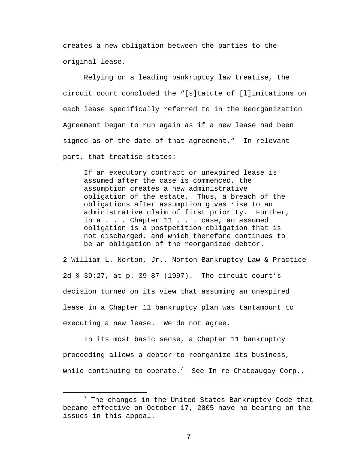creates a new obligation between the parties to the original lease.

Relying on a leading bankruptcy law treatise, the circuit court concluded the "[s]tatute of [l]imitations on each lease specifically referred to in the Reorganization Agreement began to run again as if a new lease had been signed as of the date of that agreement." In relevant part, that treatise states:

If an executory contract or unexpired lease is assumed after the case is commenced, the assumption creates a new administrative obligation of the estate. Thus, a breach of the obligations after assumption gives rise to an administrative claim of first priority. Further, in a . . . Chapter 11 . . . case, an assumed obligation is a postpetition obligation that is not discharged, and which therefore continues to be an obligation of the reorganized debtor.

2 William L. Norton, Jr., Norton Bankruptcy Law & Practice 2d § 39:27, at p. 39-87 (1997). The circuit court's decision turned on its view that assuming an unexpired lease in a Chapter 11 bankruptcy plan was tantamount to executing a new lease. We do not agree.

In its most basic sense, a Chapter 11 bankruptcy proceeding allows a debtor to reorganize its business, while continuing to operate. $^7$  See In re Chateaugay Corp.,

 <sup>7</sup>  $^7$  The changes in the United States Bankruptcy Code that became effective on October 17, 2005 have no bearing on the issues in this appeal.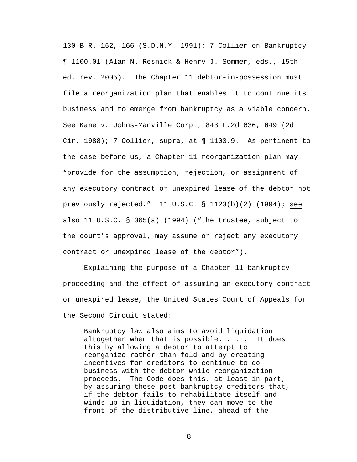130 B.R. 162, 166 (S.D.N.Y. 1991); 7 Collier on Bankruptcy ¶ 1100.01 (Alan N. Resnick & Henry J. Sommer, eds., 15th ed. rev. 2005). The Chapter 11 debtor-in-possession must file a reorganization plan that enables it to continue its business and to emerge from bankruptcy as a viable concern. See Kane v. Johns-Manville Corp., 843 F.2d 636, 649 (2d Cir. 1988); 7 Collier, supra, at ¶ 1100.9. As pertinent to the case before us, a Chapter 11 reorganization plan may "provide for the assumption, rejection, or assignment of any executory contract or unexpired lease of the debtor not previously rejected." 11 U.S.C. § 1123(b)(2) (1994); see also 11 U.S.C. § 365(a) (1994) ("the trustee, subject to the court's approval, may assume or reject any executory contract or unexpired lease of the debtor").

Explaining the purpose of a Chapter 11 bankruptcy proceeding and the effect of assuming an executory contract or unexpired lease, the United States Court of Appeals for the Second Circuit stated:

Bankruptcy law also aims to avoid liquidation altogether when that is possible.  $\ldots$  . It does this by allowing a debtor to attempt to reorganize rather than fold and by creating incentives for creditors to continue to do business with the debtor while reorganization proceeds. The Code does this, at least in part, by assuring these post-bankruptcy creditors that, if the debtor fails to rehabilitate itself and winds up in liquidation, they can move to the front of the distributive line, ahead of the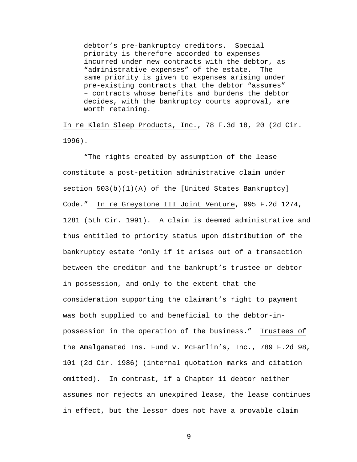debtor's pre-bankruptcy creditors. Special priority is therefore accorded to expenses incurred under new contracts with the debtor, as "administrative expenses" of the estate. The same priority is given to expenses arising under pre-existing contracts that the debtor "assumes" – contracts whose benefits and burdens the debtor decides, with the bankruptcy courts approval, are worth retaining.

In re Klein Sleep Products, Inc., 78 F.3d 18, 20 (2d Cir. 1996).

"The rights created by assumption of the lease constitute a post-petition administrative claim under section 503(b)(1)(A) of the [United States Bankruptcy] Code." In re Greystone III Joint Venture, 995 F.2d 1274, 1281 (5th Cir. 1991). A claim is deemed administrative and thus entitled to priority status upon distribution of the bankruptcy estate "only if it arises out of a transaction between the creditor and the bankrupt's trustee or debtorin-possession, and only to the extent that the consideration supporting the claimant's right to payment was both supplied to and beneficial to the debtor-inpossession in the operation of the business." Trustees of the Amalgamated Ins. Fund v. McFarlin's, Inc., 789 F.2d 98, 101 (2d Cir. 1986) (internal quotation marks and citation omitted). In contrast, if a Chapter 11 debtor neither assumes nor rejects an unexpired lease, the lease continues in effect, but the lessor does not have a provable claim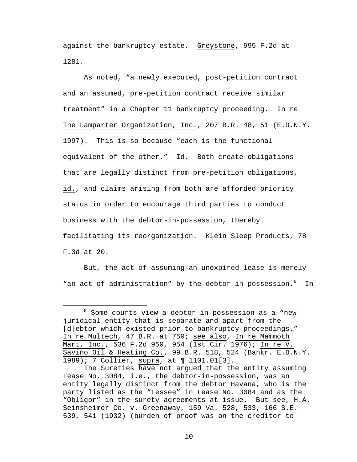against the bankruptcy estate. Greystone, 995 F.2d at 1281.

As noted, "a newly executed, post-petition contract and an assumed, pre-petition contract receive similar treatment" in a Chapter 11 bankruptcy proceeding. In re The Lamparter Organization, Inc., 207 B.R. 48, 51 (E.D.N.Y. 1997). This is so because "each is the functional equivalent of the other." Id. Both create obligations that are legally distinct from pre-petition obligations, id., and claims arising from both are afforded priority status in order to encourage third parties to conduct business with the debtor-in-possession, thereby facilitating its reorganization. Klein Sleep Products, 78 F.3d at 20.

But, the act of assuming an unexpired lease is merely "an act of administration" by the debtor-in-possession. <sup>8</sup> In

 <sup>8</sup>  $8$  Some courts view a debtor-in-possession as a "new juridical entity that is separate and apart from the [d]ebtor which existed prior to bankruptcy proceedings." In re Multech, 47 B.R. at 750; see also, In re Mammoth Mart, Inc., 536 F.2d 950, 954 ( $1st$  Cir. 1976); In re V. Savino Oil & Heating Co., 99 B.R. 518, 524 (Bankr. E.D.N.Y. 1989); 7 Collier, supra, at ¶ 1101.01[3].

The Sureties have not argued that the entity assuming Lease No. 3084, i.e., the debtor-in-possession, was an entity legally distinct from the debtor Havana, who is the party listed as the "Lessee" in Lease No. 3084 and as the "Obligor" in the surety agreements at issue. But see, H.A. Seinsheimer Co. v. Greenaway, 159 Va. 528, 533, 166 S.E. 539, 541 (1932) (burden of proof was on the creditor to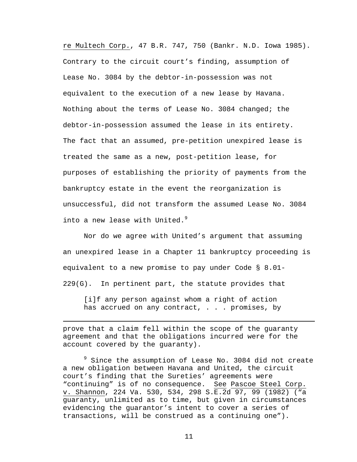re Multech Corp., 47 B.R. 747, 750 (Bankr. N.D. Iowa 1985). Contrary to the circuit court's finding, assumption of Lease No. 3084 by the debtor-in-possession was not equivalent to the execution of a new lease by Havana. Nothing about the terms of Lease No. 3084 changed; the debtor-in-possession assumed the lease in its entirety. The fact that an assumed, pre-petition unexpired lease is treated the same as a new, post-petition lease, for purposes of establishing the priority of payments from the bankruptcy estate in the event the reorganization is unsuccessful, did not transform the assumed Lease No. 3084 into a new lease with United.<sup>9</sup>

Nor do we agree with United's argument that assuming an unexpired lease in a Chapter 11 bankruptcy proceeding is equivalent to a new promise to pay under Code § 8.01- 229(G). In pertinent part, the statute provides that

[i]f any person against whom a right of action has accrued on any contract, . . . promises, by

prove that a claim fell within the scope of the guaranty agreement and that the obligations incurred were for the account covered by the guaranty).

i

<sup>9</sup> Since the assumption of Lease No. 3084 did not create a new obligation between Havana and United, the circuit court's finding that the Sureties' agreements were "continuing" is of no consequence. See Pascoe Steel Corp. v. Shannon, 224 Va. 530, 534, 298 S.E.2d 97, 99 (1982) ("a guaranty, unlimited as to time, but given in circumstances evidencing the guarantor's intent to cover a series of transactions, will be construed as a continuing one").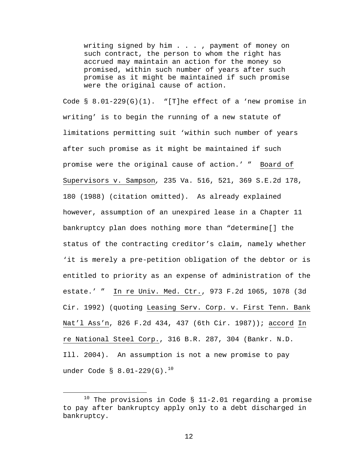writing signed by him . . . , payment of money on such contract, the person to whom the right has accrued may maintain an action for the money so promised, within such number of years after such promise as it might be maintained if such promise were the original cause of action.

Code  $\S$  8.01-229(G)(1). "[T]he effect of a 'new promise in writing' is to begin the running of a new statute of limitations permitting suit 'within such number of years after such promise as it might be maintained if such promise were the original cause of action.' " Board of Supervisors v. Sampson*,* 235 Va. 516, 521, 369 S.E.2d 178, 180 (1988) (citation omitted). As already explained however, assumption of an unexpired lease in a Chapter 11 bankruptcy plan does nothing more than "determine[] the status of the contracting creditor's claim, namely whether 'it is merely a pre-petition obligation of the debtor or is entitled to priority as an expense of administration of the estate.' " In re Univ. Med. Ctr., 973 F.2d 1065, 1078 (3d Cir. 1992) (quoting Leasing Serv. Corp. v. First Tenn. Bank Nat'l Ass'n, 826 F.2d 434, 437 (6th Cir. 1987)); accord In re National Steel Corp., 316 B.R. 287, 304 (Bankr. N.D. Ill. 2004). An assumption is not a new promise to pay under Code § 8.01-229(G). $^{10}$ 

 $10$  The provisions in Code § 11-2.01 regarding a promise to pay after bankruptcy apply only to a debt discharged in bankruptcy.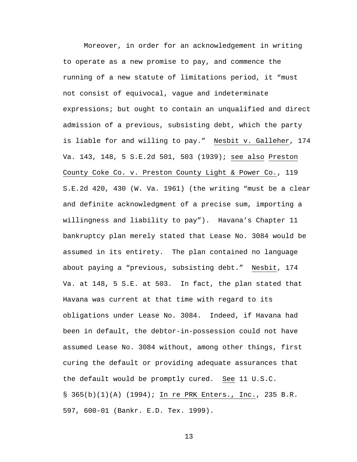Moreover, in order for an acknowledgement in writing to operate as a new promise to pay, and commence the running of a new statute of limitations period, it "must not consist of equivocal, vague and indeterminate expressions; but ought to contain an unqualified and direct admission of a previous, subsisting debt, which the party is liable for and willing to pay." Nesbit v. Galleher, 174 Va. 143, 148, 5 S.E.2d 501, 503 (1939); see also Preston County Coke Co. v. Preston County Light & Power Co., 119 S.E.2d 420, 430 (W. Va. 1961) (the writing "must be a clear and definite acknowledgment of a precise sum, importing a willingness and liability to pay"). Havana's Chapter 11 bankruptcy plan merely stated that Lease No. 3084 would be assumed in its entirety. The plan contained no language about paying a "previous, subsisting debt." Nesbit, 174 Va. at 148, 5 S.E. at 503. In fact, the plan stated that Havana was current at that time with regard to its obligations under Lease No. 3084. Indeed, if Havana had been in default, the debtor-in-possession could not have assumed Lease No. 3084 without, among other things, first curing the default or providing adequate assurances that the default would be promptly cured. See 11 U.S.C. § 365(b)(1)(A) (1994); In re PRK Enters., Inc., 235 B.R. 597, 600-01 (Bankr. E.D. Tex. 1999).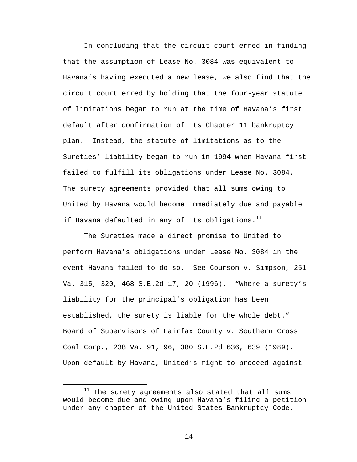In concluding that the circuit court erred in finding that the assumption of Lease No. 3084 was equivalent to Havana's having executed a new lease, we also find that the circuit court erred by holding that the four-year statute of limitations began to run at the time of Havana's first default after confirmation of its Chapter 11 bankruptcy plan. Instead, the statute of limitations as to the Sureties' liability began to run in 1994 when Havana first failed to fulfill its obligations under Lease No. 3084. The surety agreements provided that all sums owing to United by Havana would become immediately due and payable if Havana defaulted in any of its obligations. $^{11}$ 

The Sureties made a direct promise to United to perform Havana's obligations under Lease No. 3084 in the event Havana failed to do so. See Courson v. Simpson, 251 Va. 315, 320, 468 S.E.2d 17, 20 (1996). "Where a surety's liability for the principal's obligation has been established, the surety is liable for the whole debt." Board of Supervisors of Fairfax County v. Southern Cross Coal Corp., 238 Va. 91, 96, 380 S.E.2d 636, 639 (1989). Upon default by Havana, United's right to proceed against

 $11$  The surety agreements also stated that all sums would become due and owing upon Havana's filing a petition under any chapter of the United States Bankruptcy Code.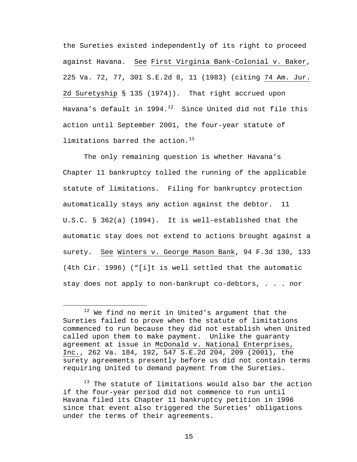the Sureties existed independently of its right to proceed against Havana. See First Virginia Bank-Colonial v. Baker, 225 Va. 72, 77, 301 S.E.2d 8, 11 (1983) (citing 74 Am. Jur. 2d Suretyship § 135 (1974)). That right accrued upon Havana's default in  $1994.12$  Since United did not file this action until September 2001, the four-year statute of limitations barred the action. $13$ 

The only remaining question is whether Havana's Chapter 11 bankruptcy tolled the running of the applicable statute of limitations. Filing for bankruptcy protection automatically stays any action against the debtor. 11 U.S.C. § 362(a) (1994). It is well-established that the automatic stay does not extend to actions brought against a surety. See Winters v. George Mason Bank, 94 F.3d 130, 133 (4th Cir. 1996) ("[i]t is well settled that the automatic stay does not apply to non-bankrupt co-debtors, . . . nor

 $12$  We find no merit in United's argument that the Sureties failed to prove when the statute of limitations commenced to run because they did not establish when United called upon them to make payment. Unlike the guaranty agreement at issue in McDonald v. National Enterprises, Inc., 262 Va. 184, 192, 547 S.E.2d 204, 209 (2001), the surety agreements presently before us did not contain terms requiring United to demand payment from the Sureties.

<sup>&</sup>lt;sup>13</sup> The statute of limitations would also bar the action if the four-year period did not commence to run until Havana filed its Chapter 11 bankruptcy petition in 1996 since that event also triggered the Sureties' obligations under the terms of their agreements.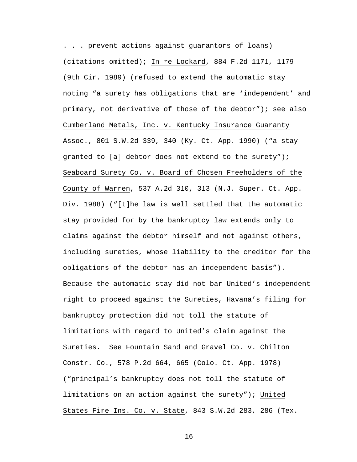. . . prevent actions against guarantors of loans) (citations omitted); In re Lockard, 884 F.2d 1171, 1179 (9th Cir. 1989) (refused to extend the automatic stay noting "a surety has obligations that are 'independent' and primary, not derivative of those of the debtor"); see also Cumberland Metals, Inc. v. Kentucky Insurance Guaranty Assoc., 801 S.W.2d 339, 340 (Ky. Ct. App. 1990) ("a stay granted to [a] debtor does not extend to the surety"); Seaboard Surety Co. v. Board of Chosen Freeholders of the County of Warren, 537 A.2d 310, 313 (N.J. Super. Ct. App. Div. 1988) ("[t]he law is well settled that the automatic stay provided for by the bankruptcy law extends only to claims against the debtor himself and not against others, including sureties, whose liability to the creditor for the obligations of the debtor has an independent basis"). Because the automatic stay did not bar United's independent right to proceed against the Sureties, Havana's filing for bankruptcy protection did not toll the statute of limitations with regard to United's claim against the Sureties. See Fountain Sand and Gravel Co. v. Chilton Constr. Co., 578 P.2d 664, 665 (Colo. Ct. App. 1978) ("principal's bankruptcy does not toll the statute of limitations on an action against the surety"); United States Fire Ins. Co. v. State, 843 S.W.2d 283, 286 (Tex.